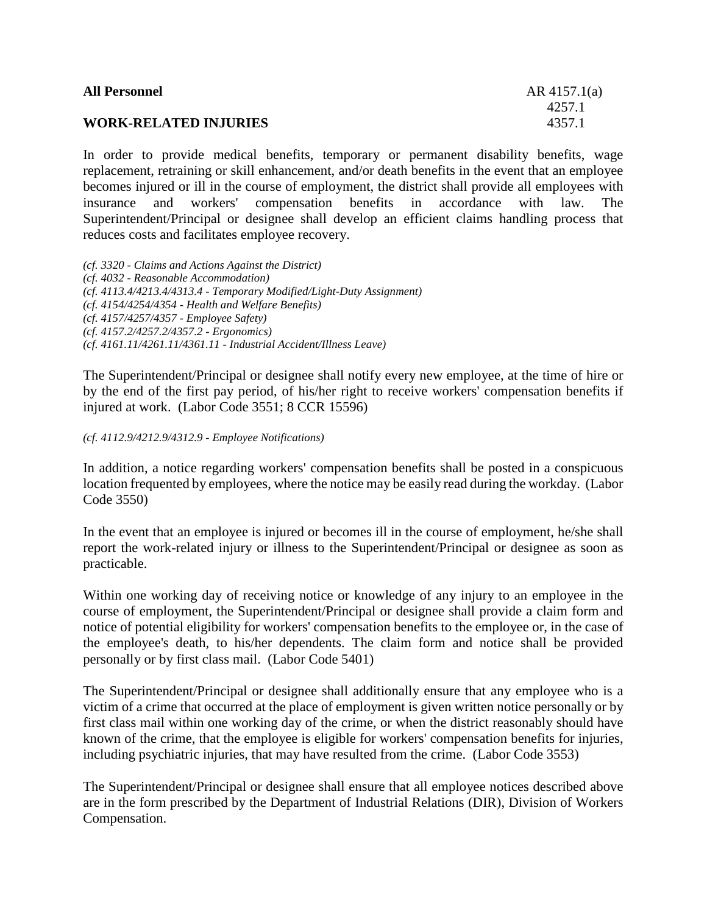| <b>All Personnel</b>         | $AR$ 4157.1(a) |
|------------------------------|----------------|
|                              | 4257.1         |
| <b>WORK-RELATED INJURIES</b> | 4357.1         |
|                              |                |

In order to provide medical benefits, temporary or permanent disability benefits, wage replacement, retraining or skill enhancement, and/or death benefits in the event that an employee becomes injured or ill in the course of employment, the district shall provide all employees with insurance and workers' compensation benefits in accordance with law. The Superintendent/Principal or designee shall develop an efficient claims handling process that reduces costs and facilitates employee recovery.

*(cf. 3320 - Claims and Actions Against the District) (cf. 4032 - Reasonable Accommodation) (cf. 4113.4/4213.4/4313.4 - Temporary Modified/Light-Duty Assignment) (cf. 4154/4254/4354 - Health and Welfare Benefits) (cf. 4157/4257/4357 - Employee Safety) (cf. 4157.2/4257.2/4357.2 - Ergonomics) (cf. 4161.11/4261.11/4361.11 - Industrial Accident/Illness Leave)*

The Superintendent/Principal or designee shall notify every new employee, at the time of hire or by the end of the first pay period, of his/her right to receive workers' compensation benefits if injured at work. (Labor Code 3551; 8 CCR 15596)

*(cf. 4112.9/4212.9/4312.9 - Employee Notifications)*

In addition, a notice regarding workers' compensation benefits shall be posted in a conspicuous location frequented by employees, where the notice may be easily read during the workday. (Labor Code 3550)

In the event that an employee is injured or becomes ill in the course of employment, he/she shall report the work-related injury or illness to the Superintendent/Principal or designee as soon as practicable.

Within one working day of receiving notice or knowledge of any injury to an employee in the course of employment, the Superintendent/Principal or designee shall provide a claim form and notice of potential eligibility for workers' compensation benefits to the employee or, in the case of the employee's death, to his/her dependents. The claim form and notice shall be provided personally or by first class mail. (Labor Code 5401)

The Superintendent/Principal or designee shall additionally ensure that any employee who is a victim of a crime that occurred at the place of employment is given written notice personally or by first class mail within one working day of the crime, or when the district reasonably should have known of the crime, that the employee is eligible for workers' compensation benefits for injuries, including psychiatric injuries, that may have resulted from the crime. (Labor Code 3553)

The Superintendent/Principal or designee shall ensure that all employee notices described above are in the form prescribed by the Department of Industrial Relations (DIR), Division of Workers Compensation.